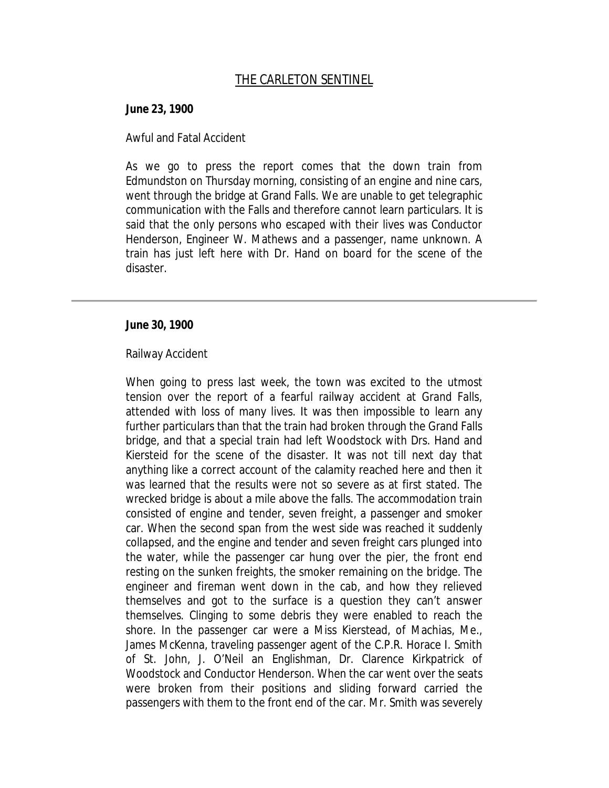## **June 23, 1900**

## Awful and Fatal Accident

As we go to press the report comes that the down train from Edmundston on Thursday morning, consisting of an engine and nine cars, went through the bridge at Grand Falls. We are unable to get telegraphic communication with the Falls and therefore cannot learn particulars. It is said that the only persons who escaped with their lives was Conductor Henderson, Engineer W. Mathews and a passenger, name unknown. A train has just left here with Dr. Hand on board for the scene of the disaster.

## **June 30, 1900**

## Railway Accident

When going to press last week, the town was excited to the utmost tension over the report of a fearful railway accident at Grand Falls, attended with loss of many lives. It was then impossible to learn any further particulars than that the train had broken through the Grand Falls bridge, and that a special train had left Woodstock with Drs. Hand and Kiersteid for the scene of the disaster. It was not till next day that anything like a correct account of the calamity reached here and then it was learned that the results were not so severe as at first stated. The wrecked bridge is about a mile above the falls. The accommodation train consisted of engine and tender, seven freight, a passenger and smoker car. When the second span from the west side was reached it suddenly collapsed, and the engine and tender and seven freight cars plunged into the water, while the passenger car hung over the pier, the front end resting on the sunken freights, the smoker remaining on the bridge. The engineer and fireman went down in the cab, and how they relieved themselves and got to the surface is a question they can't answer themselves. Clinging to some debris they were enabled to reach the shore. In the passenger car were a Miss Kierstead, of Machias, Me., James McKenna, traveling passenger agent of the C.P.R. Horace I. Smith of St. John, J. O'Neil an Englishman, Dr. Clarence Kirkpatrick of Woodstock and Conductor Henderson. When the car went over the seats were broken from their positions and sliding forward carried the passengers with them to the front end of the car. Mr. Smith was severely